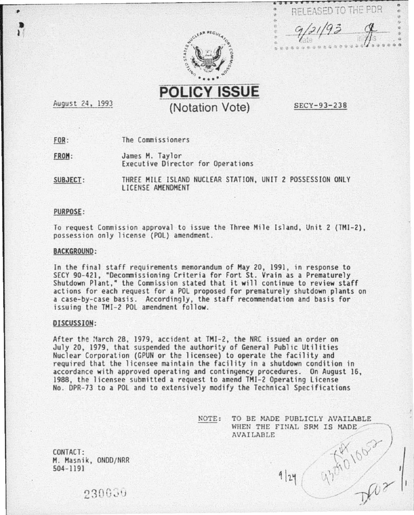

RELEASED TO THE PDR • .. " • .. *rtf? t/9* <sup>j</sup>• -*.t-.* .l

 $\frac{0}{6}$ n

**POLICY ISSUE**  (Notation Vote)

SECY-93-238

August 24, 1993

 $\frac{1}{2}$ 

 $FOR:$ The Commissioners

James M. Taylor<br>Executive Director for Operations FROM:

SUBJECT: THREE MILE ISLAND NUCLEAR STATION, UNIT 2 POSSESSION ONLY LICENSE AMENDMENT

## PURPOSE:

To request Commission approval to issue the Three Mile Island, Unit 2 (THI-2), possession only license (POL) amendment .

#### BACKGROUND:

In the final staff requirements memorandum of Hay 20, 1991, in response to SECY 90-421, "Decommissioning Criteria for Fort St. Vrain as a Prematurely Shutdown Plant," the Commi.ssion stated that it will continue to review staff actions for each request for a POL proposed for prematurely shutdown plants on a case-by-case basis. Accordingly, the staff recommendation and basis for issuing the TMI-2 POL amendment follow.

## DISCUSSION:

After the :March 28, 1979, accident at TMI-2, the NRC issued an order on July 20, 1979, that suspended the authority of General Public Utilities Nuclear Corporation (GPUN or the licensee) to operate the facility and required that the licensee maintain the facility in a shutdown condition in accordance with approved operating and contingency procedures. On August 16, 1988, the licensee submitted a request to amend THI-2 Operating license No. DPR-73 to a POL and to extensively modify the Technical Specifications

> NOTE: TO BE MADE PUBLICLY AVAILABLE WHEN THE FINAL SRM IS MADE AVAILABLE

> > $9|24$

43010622

CONTACT : H. Hasnik, ONDD/NRR 504-1191

230639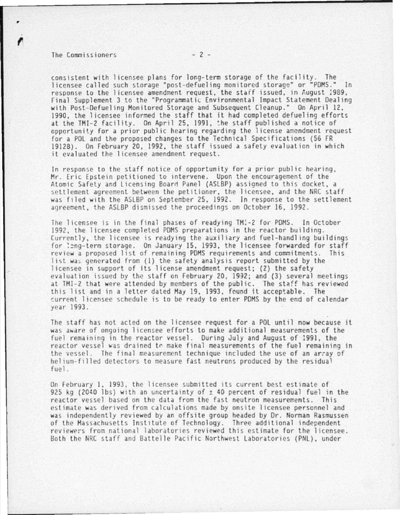#### The Commissioners  $-2$  -

consistent with licensee plans for long-term storage of the facility. The licensee called such storage "post-defueling monitored storage" or "PDMS." In response to the licensee amendment request, the staff issued, in August 1989, Final Supplement 3 to the "Programmatic Environmental Impact Statement Dealing with Post-Defueling Monitored Storage and Subsequent Cleanup." On April 12, 1990, the licensee informed the staff that it had completed defueling efforts at the TMI-2 facility. On April 25, 1991, the staff published a notice of opportunity for a prior public hearing regarding the license amendment request for a POL and the proposed changes to the Technical Specifications (56 FR 19128). On February 20, 1992, the staff issued a safety evaluation in which it evaluated the licensee amendment request.

In response to the staff notice of opportunity for a prior public hearing, Mr. Eric Epstein petitioned to intervene. Upon the encouragement of the Atomic Safety and Licensing Board Panel (ASLBP) assigned to this docket, a settlement agreement between the petitioner, the licensee, and the NRC staff was filed with the ASLBP on September 25, 1992. In response to the settlement agreement, the ASLBP dismissed the proceedings on October 16, 1992.

The licensee is in the final phases of readying TM:-2 for PDMS. In October 1992, the licensee completed PDMS preparations in the reactor building. Currently, the licensee is readying the auxiliary and fuel-handling buildings for long-term storage. On January 15, 1993, the licensee forwarded for staff review a proposed list of remaining PDMS requirements and commitments. This list was generated from  $(1)$  the safety analysis report submitted by the licensee in support of its license amendment request; (2) the safety evaluation issued by the staff on February 20, 1992; and (3) several meetings at TMI-2 that were attended by members of the public. The staff has reviewed this list and in a letter dated May 19, 1993, found it acceptable. The current licensee schedule is to be ready to enter PDMS by the end of calendar year 1993.

The staff has not acted on the licensee request for a POL until now because it was aware of ongoing licensee efforts to make additional measurements of the fuel remaining in the reactor vessel. During July and August of :991, the reactor vessel was drained to make final measurements of the fuel remaining in the vessel. The final measurement technique included the use of an array of helium-filled detectors to measure fast neutrons produced by the residual fuel.

On February 1, 1993, the licensee submitted its current best estimate of 925 kg (2040 lbs) with an uncertainty of  $\pm$  40 percent of residual fuel in the reactor vessel based on the data from the fast neutron measurements. This estimate was derived from calculations made by onsite licensee personnel and was independently reviewed by an offsite group headed by Dr. Norman Rasmussen of the Massachusetts Institute of Technology. Three additional independent reviewers from national laboratories reviewed this estimate for the licensee. Both the NRC staff and Battelle Pacific Northwest Laboratories (PNL), under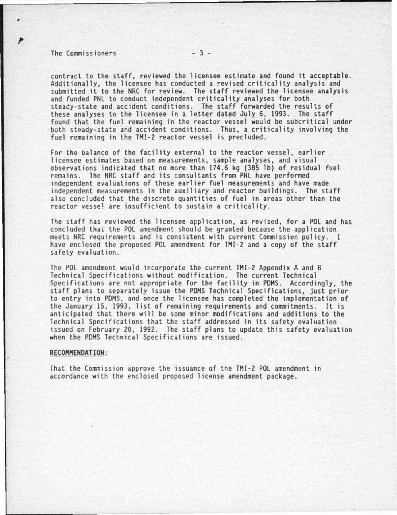# The Commissioners  $-3$  -

٠

contract to the staff, reviewed the licensee estimate and found it acceptable.<br>Additionally, the licensee has conducted a revised criticality analysis and submitted it to the NRC for review. The staff reviewed the licensee analysis and funded PNL to conduct independent criticality analyses for both steacy-state and accident conditions. The staff forwarded the results of these analyses to the licensee in a letter dated July 6, 1993. The staff found that the fuel remaining in the reactor vessel would be subcritical under both steady-state and accident conditions. Thus, a criticality involving the fuel remaining in the TMI-2 reactor vessel is precluded.

For the balance of the facility external to the reactor vessel, earlier<br>licensee estimates based on measurements, sample analyses, and visual observations indicated that no more than 174 .6 kg (385 lb) of residual fuel independent evaluations of these earlier fuel measurements and have made independent measurements in the aux iliary and reactor buildings. The staff also concluded that the discrete quantities of fuel in areas other than the reactor vessel are insufficient to sustain a criticality.

The staff has reviewed the licensee application, as revised, for a POL and has concluded that the POL amendment should be granted because the application meets NRC requirements and is consistent with current Commission policy. 1 have enclosed the proposed POL amendment for THI-2 and a copy of the staff safety evaluation .

The POL amendment would incorporate the current TMI-2 Appendix A and B Technical Specifications without modification . The current Technical Specifications are not appropriate for the facility in PDMS. Accordingly, the staff plans to separately issue the PDHS Technical Specifications, just prior to entry into POHS. and once the licensee has completed the implementation of the January 15, 1993, list of remaining requirements and commitments. It is anticipated that there will be some minor modifications and additions to the Technical Specifications that the staff addressed in its safety evaluation issued on February 20, 1992. The staff plans to update this safety evaluation when the PDMS Technical Specifications are issued.

#### RECOMMENDATION:

That the Commission approve the issuance of the TMI-2 POL amendment in accordance with the enclosed proposed license amendment package .